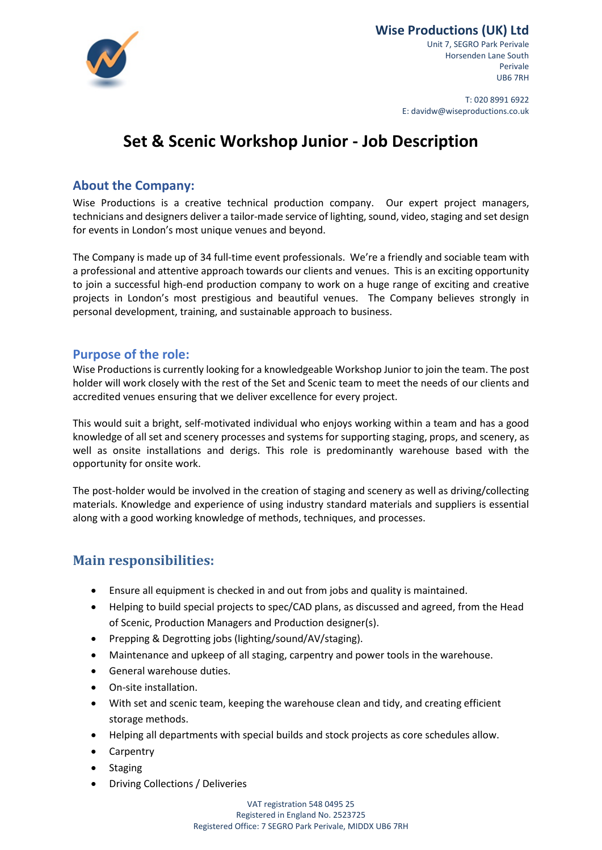

Unit 7, SEGRO Park Perivale Horsenden Lane South Perivale UB6 7RH

T: 020 8991 6922 E: davidw@wiseproductions.co.uk

# **Set & Scenic Workshop Junior - Job Description**

## **About the Company:**

Wise Productions is a creative technical production company. Our expert project managers, technicians and designers deliver a tailor-made service of lighting, sound, video, staging and set design for events in London's most unique venues and beyond.

The Company is made up of 34 full-time event professionals. We're a friendly and sociable team with a professional and attentive approach towards our clients and venues. This is an exciting opportunity to join a successful high-end production company to work on a huge range of exciting and creative projects in London's most prestigious and beautiful venues. The Company believes strongly in personal development, training, and sustainable approach to business.

## **Purpose of the role:**

Wise Productions is currently looking for a knowledgeable Workshop Junior to join the team. The post holder will work closely with the rest of the Set and Scenic team to meet the needs of our clients and accredited venues ensuring that we deliver excellence for every project.

This would suit a bright, self-motivated individual who enjoys working within a team and has a good knowledge of all set and scenery processes and systems for supporting staging, props, and scenery, as well as onsite installations and derigs. This role is predominantly warehouse based with the opportunity for onsite work.

The post-holder would be involved in the creation of staging and scenery as well as driving/collecting materials. Knowledge and experience of using industry standard materials and suppliers is essential along with a good working knowledge of methods, techniques, and processes.

## **Main responsibilities:**

- Ensure all equipment is checked in and out from jobs and quality is maintained.
- Helping to build special projects to spec/CAD plans, as discussed and agreed, from the Head of Scenic, Production Managers and Production designer(s).
- Prepping & Degrotting jobs (lighting/sound/AV/staging).
- Maintenance and upkeep of all staging, carpentry and power tools in the warehouse.
- General warehouse duties.
- On-site installation.
- With set and scenic team, keeping the warehouse clean and tidy, and creating efficient storage methods.
- Helping all departments with special builds and stock projects as core schedules allow.
- Carpentry
- Staging
- Driving Collections / Deliveries